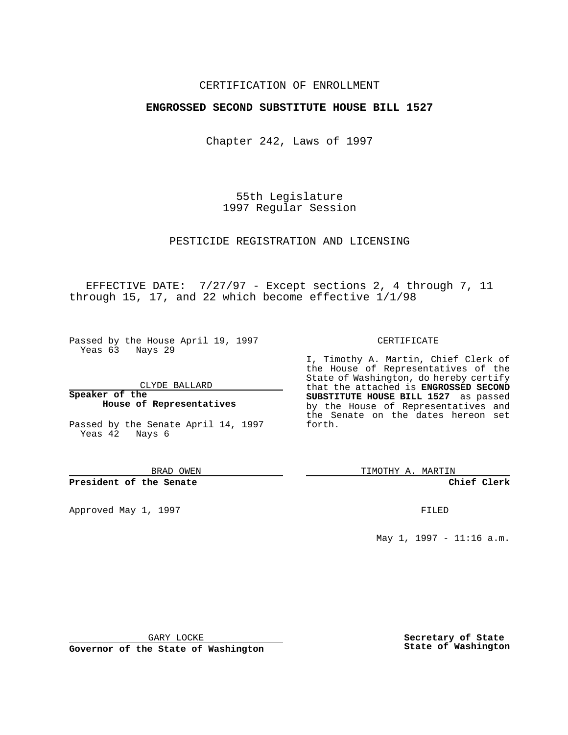### CERTIFICATION OF ENROLLMENT

## **ENGROSSED SECOND SUBSTITUTE HOUSE BILL 1527**

Chapter 242, Laws of 1997

55th Legislature 1997 Regular Session

PESTICIDE REGISTRATION AND LICENSING

EFFECTIVE DATE: 7/27/97 - Except sections 2, 4 through 7, 11 through 15, 17, and 22 which become effective 1/1/98

Passed by the House April 19, 1997 Yeas 63 Nays 29

CLYDE BALLARD

**Speaker of the House of Representatives**

Passed by the Senate April 14, 1997 Yeas 42 Nays 6

BRAD OWEN

**President of the Senate**

Approved May 1, 1997 **FILED** 

CERTIFICATE

I, Timothy A. Martin, Chief Clerk of the House of Representatives of the State of Washington, do hereby certify that the attached is **ENGROSSED SECOND SUBSTITUTE HOUSE BILL 1527** as passed by the House of Representatives and the Senate on the dates hereon set forth.

TIMOTHY A. MARTIN

**Chief Clerk**

May 1, 1997 - 11:16 a.m.

GARY LOCKE

**Governor of the State of Washington**

**Secretary of State State of Washington**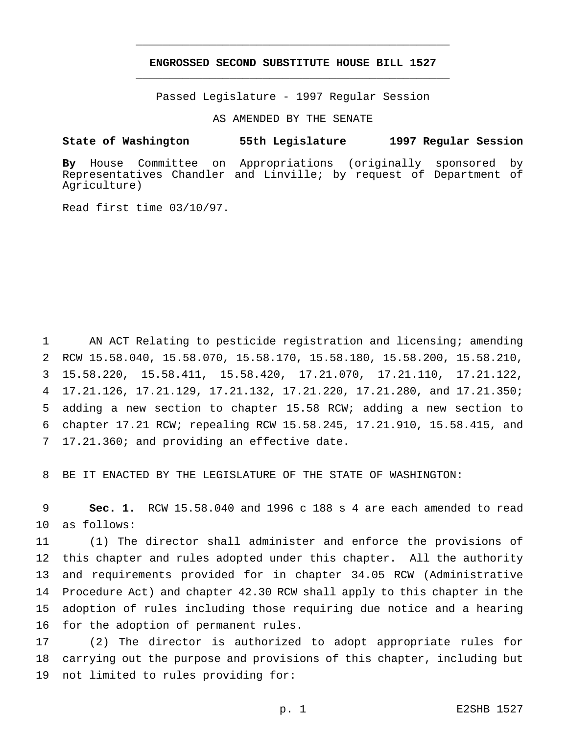# **ENGROSSED SECOND SUBSTITUTE HOUSE BILL 1527** \_\_\_\_\_\_\_\_\_\_\_\_\_\_\_\_\_\_\_\_\_\_\_\_\_\_\_\_\_\_\_\_\_\_\_\_\_\_\_\_\_\_\_\_\_\_\_

\_\_\_\_\_\_\_\_\_\_\_\_\_\_\_\_\_\_\_\_\_\_\_\_\_\_\_\_\_\_\_\_\_\_\_\_\_\_\_\_\_\_\_\_\_\_\_

Passed Legislature - 1997 Regular Session

AS AMENDED BY THE SENATE

#### **State of Washington 55th Legislature 1997 Regular Session**

**By** House Committee on Appropriations (originally sponsored by Representatives Chandler and Linville; by request of Department of Agriculture)

Read first time 03/10/97.

 AN ACT Relating to pesticide registration and licensing; amending RCW 15.58.040, 15.58.070, 15.58.170, 15.58.180, 15.58.200, 15.58.210, 15.58.220, 15.58.411, 15.58.420, 17.21.070, 17.21.110, 17.21.122, 17.21.126, 17.21.129, 17.21.132, 17.21.220, 17.21.280, and 17.21.350; adding a new section to chapter 15.58 RCW; adding a new section to chapter 17.21 RCW; repealing RCW 15.58.245, 17.21.910, 15.58.415, and 17.21.360; and providing an effective date.

BE IT ENACTED BY THE LEGISLATURE OF THE STATE OF WASHINGTON:

 **Sec. 1.** RCW 15.58.040 and 1996 c 188 s 4 are each amended to read as follows:

 (1) The director shall administer and enforce the provisions of this chapter and rules adopted under this chapter. All the authority and requirements provided for in chapter 34.05 RCW (Administrative Procedure Act) and chapter 42.30 RCW shall apply to this chapter in the adoption of rules including those requiring due notice and a hearing for the adoption of permanent rules.

 (2) The director is authorized to adopt appropriate rules for carrying out the purpose and provisions of this chapter, including but not limited to rules providing for: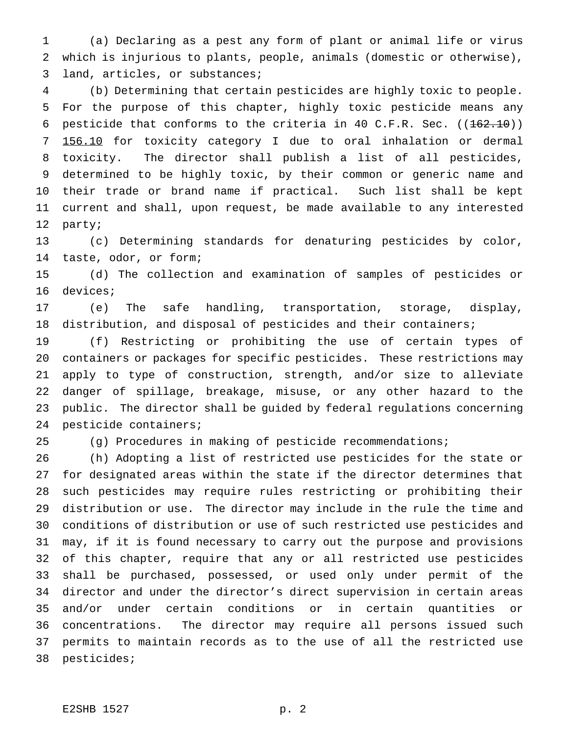(a) Declaring as a pest any form of plant or animal life or virus which is injurious to plants, people, animals (domestic or otherwise), land, articles, or substances;

 (b) Determining that certain pesticides are highly toxic to people. For the purpose of this chapter, highly toxic pesticide means any 6 pesticide that conforms to the criteria in 40 C.F.R. Sec.  $((162.10))$  156.10 for toxicity category I due to oral inhalation or dermal toxicity. The director shall publish a list of all pesticides, determined to be highly toxic, by their common or generic name and their trade or brand name if practical. Such list shall be kept current and shall, upon request, be made available to any interested party;

 (c) Determining standards for denaturing pesticides by color, taste, odor, or form;

 (d) The collection and examination of samples of pesticides or devices;

 (e) The safe handling, transportation, storage, display, distribution, and disposal of pesticides and their containers;

 (f) Restricting or prohibiting the use of certain types of containers or packages for specific pesticides. These restrictions may apply to type of construction, strength, and/or size to alleviate danger of spillage, breakage, misuse, or any other hazard to the public. The director shall be guided by federal regulations concerning pesticide containers;

(g) Procedures in making of pesticide recommendations;

 (h) Adopting a list of restricted use pesticides for the state or for designated areas within the state if the director determines that such pesticides may require rules restricting or prohibiting their distribution or use. The director may include in the rule the time and conditions of distribution or use of such restricted use pesticides and may, if it is found necessary to carry out the purpose and provisions of this chapter, require that any or all restricted use pesticides shall be purchased, possessed, or used only under permit of the director and under the director's direct supervision in certain areas and/or under certain conditions or in certain quantities or concentrations. The director may require all persons issued such permits to maintain records as to the use of all the restricted use pesticides;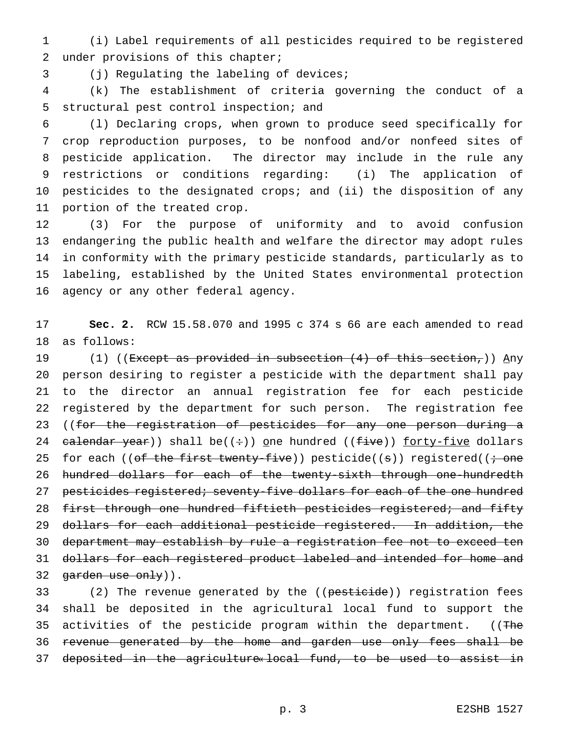(i) Label requirements of all pesticides required to be registered under provisions of this chapter;

(j) Regulating the labeling of devices;

 (k) The establishment of criteria governing the conduct of a structural pest control inspection; and

 (l) Declaring crops, when grown to produce seed specifically for crop reproduction purposes, to be nonfood and/or nonfeed sites of pesticide application. The director may include in the rule any restrictions or conditions regarding: (i) The application of pesticides to the designated crops; and (ii) the disposition of any portion of the treated crop.

 (3) For the purpose of uniformity and to avoid confusion endangering the public health and welfare the director may adopt rules in conformity with the primary pesticide standards, particularly as to labeling, established by the United States environmental protection agency or any other federal agency.

 **Sec. 2.** RCW 15.58.070 and 1995 c 374 s 66 are each amended to read as follows:

19 (1) ((Except as provided in subsection  $(4)$  of this section,)) Any person desiring to register a pesticide with the department shall pay to the director an annual registration fee for each pesticide registered by the department for such person. The registration fee 23 ((for the registration of pesticides for any one person during a 24 calendar year)) shall be( $(+)$ ) one hundred ( $(five)$ ) forty-five dollars 25 for each ((of the first twenty-five)) pesticide((s)) registered(( $\div$  one 26 hundred dollars for each of the twenty-sixth through one-hundredth 27 pesticides registered; seventy-five dollars for each of the one hundred 28 first through one hundred fiftieth pesticides registered; and fifty dollars for each additional pesticide registered. In addition, the department may establish by rule a registration fee not to exceed ten 31 dollars for each registered product labeled and intended for home and 32 garden use only)).

33 (2) The revenue generated by the ((pesticide)) registration fees shall be deposited in the agricultural local fund to support the 35 activities of the pesticide program within the department. ((The revenue generated by the home and garden use only fees shall be deposited in the agriculture« local fund, to be used to assist in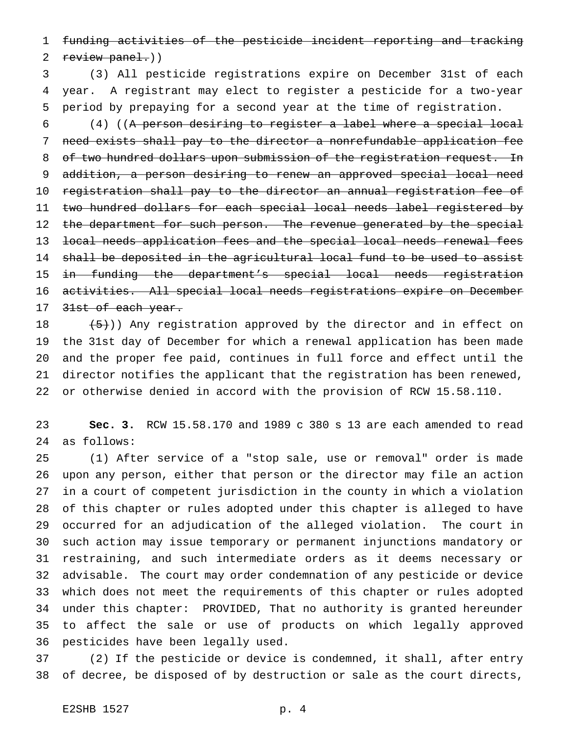funding activities of the pesticide incident reporting and tracking 2 review panel.))

 (3) All pesticide registrations expire on December 31st of each year. A registrant may elect to register a pesticide for a two-year period by prepaying for a second year at the time of registration.

 (4) ((A person desiring to register a label where a special local need exists shall pay to the director a nonrefundable application fee 8 of two hundred dollars upon submission of the registration request. In addition, a person desiring to renew an approved special local need registration shall pay to the director an annual registration fee of two hundred dollars for each special local needs label registered by 12 the department for such person. The revenue generated by the special local needs application fees and the special local needs renewal fees shall be deposited in the agricultural local fund to be used to assist in funding the department's special local needs registration activities. All special local needs registrations expire on December 17 31st of each year.

 $(5+)$ ) Any registration approved by the director and in effect on the 31st day of December for which a renewal application has been made and the proper fee paid, continues in full force and effect until the director notifies the applicant that the registration has been renewed, or otherwise denied in accord with the provision of RCW 15.58.110.

 **Sec. 3.** RCW 15.58.170 and 1989 c 380 s 13 are each amended to read as follows:

 (1) After service of a "stop sale, use or removal" order is made upon any person, either that person or the director may file an action in a court of competent jurisdiction in the county in which a violation of this chapter or rules adopted under this chapter is alleged to have occurred for an adjudication of the alleged violation. The court in such action may issue temporary or permanent injunctions mandatory or restraining, and such intermediate orders as it deems necessary or advisable. The court may order condemnation of any pesticide or device which does not meet the requirements of this chapter or rules adopted under this chapter: PROVIDED, That no authority is granted hereunder to affect the sale or use of products on which legally approved pesticides have been legally used.

 (2) If the pesticide or device is condemned, it shall, after entry of decree, be disposed of by destruction or sale as the court directs,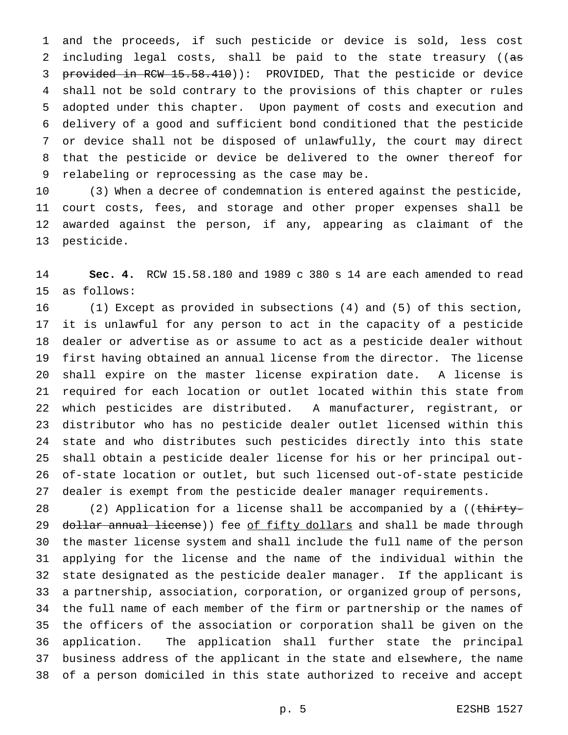and the proceeds, if such pesticide or device is sold, less cost 2 including legal costs, shall be paid to the state treasury ((as 3 provided in RCW 15.58.410)): PROVIDED, That the pesticide or device shall not be sold contrary to the provisions of this chapter or rules adopted under this chapter. Upon payment of costs and execution and delivery of a good and sufficient bond conditioned that the pesticide or device shall not be disposed of unlawfully, the court may direct that the pesticide or device be delivered to the owner thereof for relabeling or reprocessing as the case may be.

 (3) When a decree of condemnation is entered against the pesticide, court costs, fees, and storage and other proper expenses shall be awarded against the person, if any, appearing as claimant of the pesticide.

 **Sec. 4.** RCW 15.58.180 and 1989 c 380 s 14 are each amended to read as follows:

 (1) Except as provided in subsections (4) and (5) of this section, it is unlawful for any person to act in the capacity of a pesticide dealer or advertise as or assume to act as a pesticide dealer without first having obtained an annual license from the director. The license shall expire on the master license expiration date. A license is required for each location or outlet located within this state from which pesticides are distributed. A manufacturer, registrant, or distributor who has no pesticide dealer outlet licensed within this state and who distributes such pesticides directly into this state shall obtain a pesticide dealer license for his or her principal out- of-state location or outlet, but such licensed out-of-state pesticide dealer is exempt from the pesticide dealer manager requirements.

28 (2) Application for a license shall be accompanied by a ((thirty-29 dollar annual license)) fee of fifty dollars and shall be made through the master license system and shall include the full name of the person applying for the license and the name of the individual within the state designated as the pesticide dealer manager. If the applicant is a partnership, association, corporation, or organized group of persons, the full name of each member of the firm or partnership or the names of the officers of the association or corporation shall be given on the application. The application shall further state the principal business address of the applicant in the state and elsewhere, the name of a person domiciled in this state authorized to receive and accept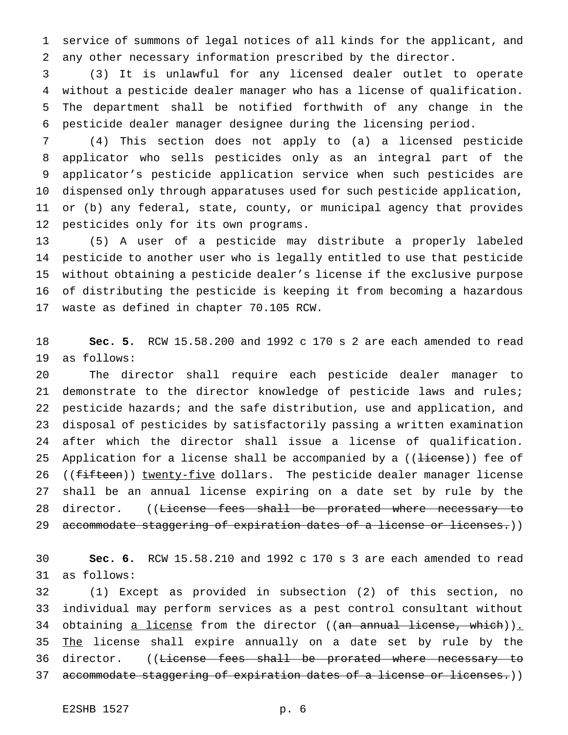service of summons of legal notices of all kinds for the applicant, and any other necessary information prescribed by the director.

 (3) It is unlawful for any licensed dealer outlet to operate without a pesticide dealer manager who has a license of qualification. The department shall be notified forthwith of any change in the pesticide dealer manager designee during the licensing period.

 (4) This section does not apply to (a) a licensed pesticide applicator who sells pesticides only as an integral part of the applicator's pesticide application service when such pesticides are dispensed only through apparatuses used for such pesticide application, or (b) any federal, state, county, or municipal agency that provides pesticides only for its own programs.

 (5) A user of a pesticide may distribute a properly labeled pesticide to another user who is legally entitled to use that pesticide without obtaining a pesticide dealer's license if the exclusive purpose of distributing the pesticide is keeping it from becoming a hazardous waste as defined in chapter 70.105 RCW.

 **Sec. 5.** RCW 15.58.200 and 1992 c 170 s 2 are each amended to read as follows:

 The director shall require each pesticide dealer manager to demonstrate to the director knowledge of pesticide laws and rules; pesticide hazards; and the safe distribution, use and application, and disposal of pesticides by satisfactorily passing a written examination after which the director shall issue a license of qualification. 25 Application for a license shall be accompanied by a ((<del>license</del>)) fee of 26 ((fifteen)) twenty-five dollars. The pesticide dealer manager license shall be an annual license expiring on a date set by rule by the 28 director. ((License fees shall be prorated where necessary to 29 accommodate staggering of expiration dates of a license or licenses.))

 **Sec. 6.** RCW 15.58.210 and 1992 c 170 s 3 are each amended to read as follows:

 (1) Except as provided in subsection (2) of this section, no individual may perform services as a pest control consultant without 34 obtaining a license from the director ((an annual license, which)). 35 The license shall expire annually on a date set by rule by the 36 director. ((<del>License fees shall be prorated where necessary to</del> 37 accommodate staggering of expiration dates of a license or licenses.))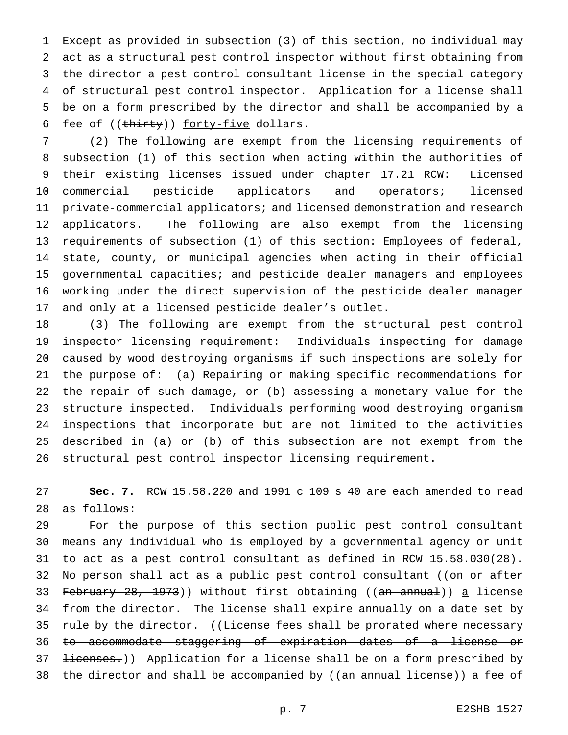Except as provided in subsection (3) of this section, no individual may act as a structural pest control inspector without first obtaining from the director a pest control consultant license in the special category of structural pest control inspector. Application for a license shall be on a form prescribed by the director and shall be accompanied by a 6 fee of ((thirty)) forty-five dollars.

 (2) The following are exempt from the licensing requirements of subsection (1) of this section when acting within the authorities of their existing licenses issued under chapter 17.21 RCW: Licensed commercial pesticide applicators and operators; licensed private-commercial applicators; and licensed demonstration and research applicators. The following are also exempt from the licensing requirements of subsection (1) of this section: Employees of federal, state, county, or municipal agencies when acting in their official governmental capacities; and pesticide dealer managers and employees working under the direct supervision of the pesticide dealer manager and only at a licensed pesticide dealer's outlet.

 (3) The following are exempt from the structural pest control inspector licensing requirement: Individuals inspecting for damage caused by wood destroying organisms if such inspections are solely for the purpose of: (a) Repairing or making specific recommendations for the repair of such damage, or (b) assessing a monetary value for the structure inspected. Individuals performing wood destroying organism inspections that incorporate but are not limited to the activities described in (a) or (b) of this subsection are not exempt from the structural pest control inspector licensing requirement.

 **Sec. 7.** RCW 15.58.220 and 1991 c 109 s 40 are each amended to read as follows:

 For the purpose of this section public pest control consultant means any individual who is employed by a governmental agency or unit to act as a pest control consultant as defined in RCW 15.58.030(28). 32 No person shall act as a public pest control consultant ((on or after 33 February 28, 1973)) without first obtaining ((an annual)) a license from the director. The license shall expire annually on a date set by 35 rule by the director. ((License fees shall be prorated where necessary to accommodate staggering of expiration dates of a license or 37 <del>licenses.</del>)) Application for a license shall be on a form prescribed by 38 the director and shall be accompanied by ((<del>an annual license</del>)) <u>a</u> fee of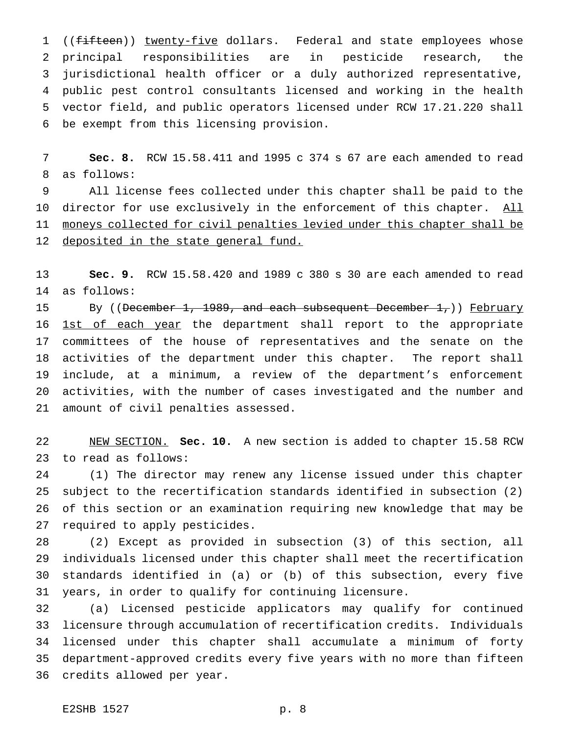1 ((fifteen)) twenty-five dollars. Federal and state employees whose principal responsibilities are in pesticide research, the jurisdictional health officer or a duly authorized representative, public pest control consultants licensed and working in the health vector field, and public operators licensed under RCW 17.21.220 shall be exempt from this licensing provision.

 **Sec. 8.** RCW 15.58.411 and 1995 c 374 s 67 are each amended to read as follows:

 All license fees collected under this chapter shall be paid to the 10 director for use exclusively in the enforcement of this chapter. All 11 moneys collected for civil penalties levied under this chapter shall be 12 deposited in the state general fund.

 **Sec. 9.** RCW 15.58.420 and 1989 c 380 s 30 are each amended to read as follows:

15 By ((December 1, 1989, and each subsequent December 1,)) February 16 <u>1st of each year</u> the department shall report to the appropriate committees of the house of representatives and the senate on the activities of the department under this chapter. The report shall include, at a minimum, a review of the department's enforcement activities, with the number of cases investigated and the number and amount of civil penalties assessed.

 NEW SECTION. **Sec. 10.** A new section is added to chapter 15.58 RCW to read as follows:

 (1) The director may renew any license issued under this chapter subject to the recertification standards identified in subsection (2) of this section or an examination requiring new knowledge that may be required to apply pesticides.

 (2) Except as provided in subsection (3) of this section, all individuals licensed under this chapter shall meet the recertification standards identified in (a) or (b) of this subsection, every five years, in order to qualify for continuing licensure.

 (a) Licensed pesticide applicators may qualify for continued licensure through accumulation of recertification credits. Individuals licensed under this chapter shall accumulate a minimum of forty department-approved credits every five years with no more than fifteen credits allowed per year.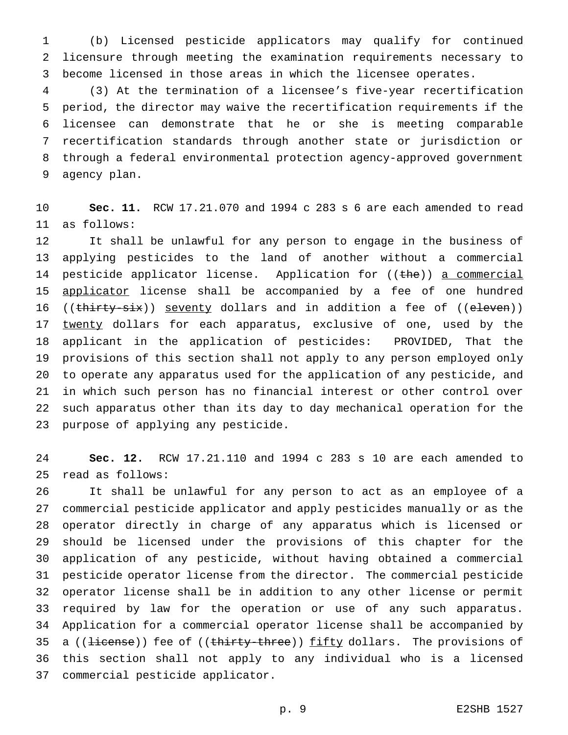(b) Licensed pesticide applicators may qualify for continued licensure through meeting the examination requirements necessary to become licensed in those areas in which the licensee operates.

 (3) At the termination of a licensee's five-year recertification period, the director may waive the recertification requirements if the licensee can demonstrate that he or she is meeting comparable recertification standards through another state or jurisdiction or through a federal environmental protection agency-approved government agency plan.

 **Sec. 11.** RCW 17.21.070 and 1994 c 283 s 6 are each amended to read as follows:

 It shall be unlawful for any person to engage in the business of applying pesticides to the land of another without a commercial 14 pesticide applicator license. Application for ((the)) a commercial 15 applicator license shall be accompanied by a fee of one hundred 16 ((thirty-six)) seventy dollars and in addition a fee of ((eleven)) 17 twenty dollars for each apparatus, exclusive of one, used by the applicant in the application of pesticides: PROVIDED, That the provisions of this section shall not apply to any person employed only to operate any apparatus used for the application of any pesticide, and in which such person has no financial interest or other control over such apparatus other than its day to day mechanical operation for the purpose of applying any pesticide.

 **Sec. 12.** RCW 17.21.110 and 1994 c 283 s 10 are each amended to read as follows:

 It shall be unlawful for any person to act as an employee of a commercial pesticide applicator and apply pesticides manually or as the operator directly in charge of any apparatus which is licensed or should be licensed under the provisions of this chapter for the application of any pesticide, without having obtained a commercial pesticide operator license from the director. The commercial pesticide operator license shall be in addition to any other license or permit required by law for the operation or use of any such apparatus. Application for a commercial operator license shall be accompanied by 35 a ((<del>license</del>)) fee of ((thirty-three)) fifty dollars. The provisions of this section shall not apply to any individual who is a licensed commercial pesticide applicator.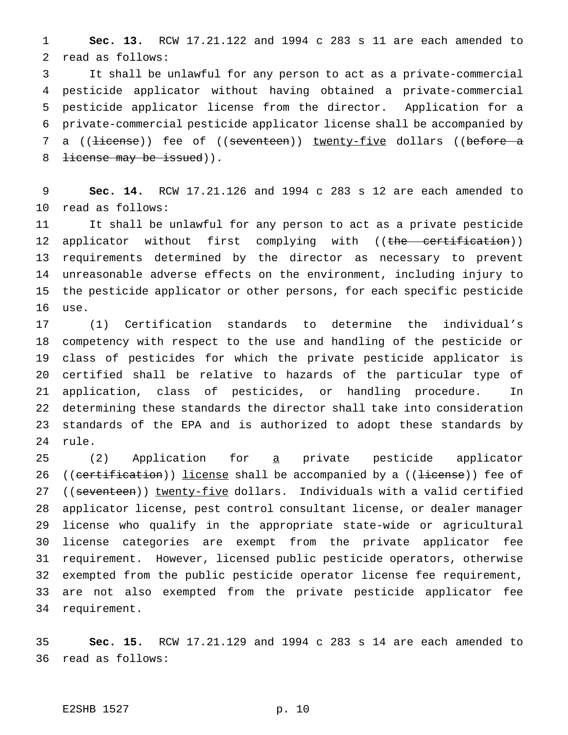**Sec. 13.** RCW 17.21.122 and 1994 c 283 s 11 are each amended to read as follows:

 It shall be unlawful for any person to act as a private-commercial pesticide applicator without having obtained a private-commercial pesticide applicator license from the director. Application for a private-commercial pesticide applicator license shall be accompanied by 7 a ((<del>license</del>)) fee of ((seventeen)) twenty-five dollars ((before a 8 <del>license may be issued</del>)).

 **Sec. 14.** RCW 17.21.126 and 1994 c 283 s 12 are each amended to read as follows:

 It shall be unlawful for any person to act as a private pesticide 12 applicator without first complying with ((the certification)) requirements determined by the director as necessary to prevent unreasonable adverse effects on the environment, including injury to the pesticide applicator or other persons, for each specific pesticide use.

 (1) Certification standards to determine the individual's competency with respect to the use and handling of the pesticide or class of pesticides for which the private pesticide applicator is certified shall be relative to hazards of the particular type of application, class of pesticides, or handling procedure. In determining these standards the director shall take into consideration standards of the EPA and is authorized to adopt these standards by rule.

 (2) Application for a private pesticide applicator 26 (( $c$ ertification)) license shall be accompanied by a (( $\frac{1}{1}$ icense)) fee of 27 ((seventeen)) twenty-five dollars. Individuals with a valid certified applicator license, pest control consultant license, or dealer manager license who qualify in the appropriate state-wide or agricultural license categories are exempt from the private applicator fee requirement. However, licensed public pesticide operators, otherwise exempted from the public pesticide operator license fee requirement, are not also exempted from the private pesticide applicator fee requirement.

 **Sec. 15.** RCW 17.21.129 and 1994 c 283 s 14 are each amended to read as follows:

## E2SHB 1527 p. 10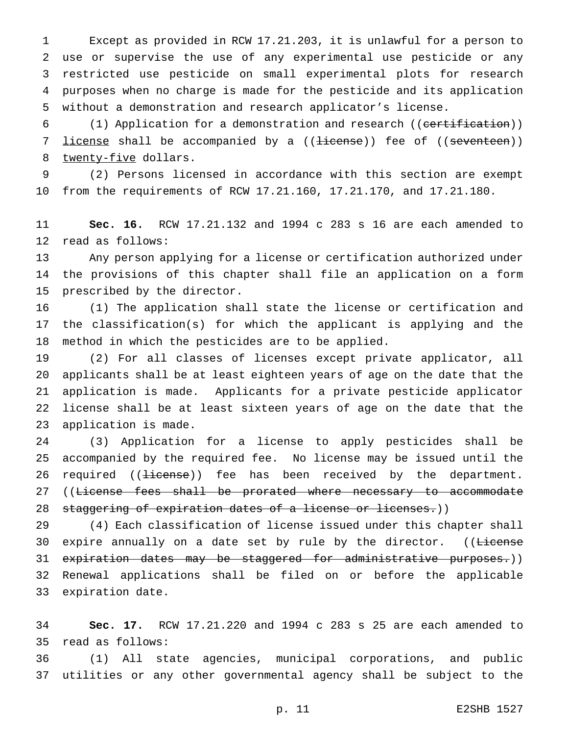Except as provided in RCW 17.21.203, it is unlawful for a person to use or supervise the use of any experimental use pesticide or any restricted use pesticide on small experimental plots for research purposes when no charge is made for the pesticide and its application without a demonstration and research applicator's license.

6 (1) Application for a demonstration and research ((eertification)) 7 <u>license</u> shall be accompanied by a ((<del>license</del>)) fee of ((<del>seventeen</del>)) 8 twenty-five dollars.

 (2) Persons licensed in accordance with this section are exempt from the requirements of RCW 17.21.160, 17.21.170, and 17.21.180.

 **Sec. 16.** RCW 17.21.132 and 1994 c 283 s 16 are each amended to read as follows:

 Any person applying for a license or certification authorized under the provisions of this chapter shall file an application on a form prescribed by the director.

 (1) The application shall state the license or certification and the classification(s) for which the applicant is applying and the method in which the pesticides are to be applied.

 (2) For all classes of licenses except private applicator, all applicants shall be at least eighteen years of age on the date that the application is made. Applicants for a private pesticide applicator license shall be at least sixteen years of age on the date that the application is made.

 (3) Application for a license to apply pesticides shall be accompanied by the required fee. No license may be issued until the 26 required ((<del>license</del>)) fee has been received by the department. 27 ((License fees shall be prorated where necessary to accommodate 28 staggering of expiration dates of a license or licenses.))

 (4) Each classification of license issued under this chapter shall 30 expire annually on a date set by rule by the director. ((License 31 expiration dates may be staggered for administrative purposes.)) Renewal applications shall be filed on or before the applicable expiration date.

 **Sec. 17.** RCW 17.21.220 and 1994 c 283 s 25 are each amended to read as follows:

 (1) All state agencies, municipal corporations, and public utilities or any other governmental agency shall be subject to the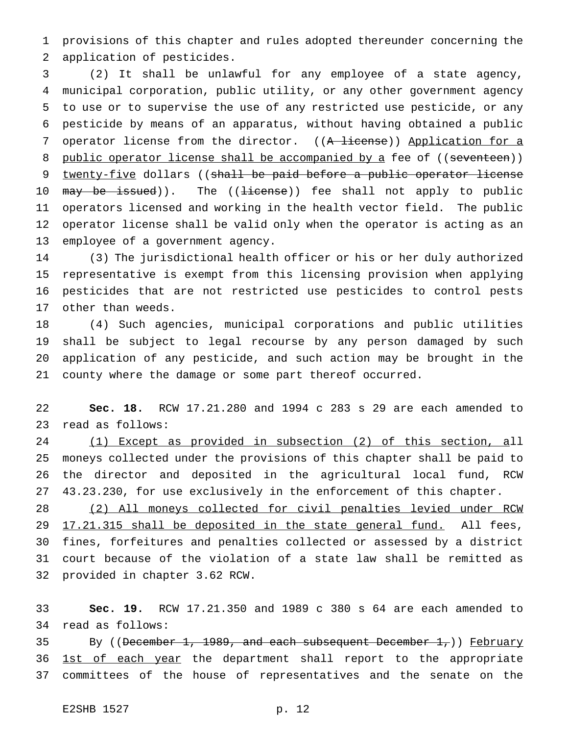provisions of this chapter and rules adopted thereunder concerning the application of pesticides.

 (2) It shall be unlawful for any employee of a state agency, municipal corporation, public utility, or any other government agency to use or to supervise the use of any restricted use pesticide, or any pesticide by means of an apparatus, without having obtained a public 7 operator license from the director. ((A license)) Application for a 8 public operator license shall be accompanied by a fee of ((seventeen)) 9 twenty-five dollars ((shall be paid before a public operator license 10 may be issued)). The ((license)) fee shall not apply to public operators licensed and working in the health vector field. The public operator license shall be valid only when the operator is acting as an employee of a government agency.

 (3) The jurisdictional health officer or his or her duly authorized representative is exempt from this licensing provision when applying pesticides that are not restricted use pesticides to control pests other than weeds.

 (4) Such agencies, municipal corporations and public utilities shall be subject to legal recourse by any person damaged by such application of any pesticide, and such action may be brought in the county where the damage or some part thereof occurred.

 **Sec. 18.** RCW 17.21.280 and 1994 c 283 s 29 are each amended to read as follows:

 (1) Except as provided in subsection (2) of this section, all moneys collected under the provisions of this chapter shall be paid to the director and deposited in the agricultural local fund, RCW 43.23.230, for use exclusively in the enforcement of this chapter.

 (2) All moneys collected for civil penalties levied under RCW 29 17.21.315 shall be deposited in the state general fund. All fees, fines, forfeitures and penalties collected or assessed by a district court because of the violation of a state law shall be remitted as provided in chapter 3.62 RCW.

 **Sec. 19.** RCW 17.21.350 and 1989 c 380 s 64 are each amended to read as follows:

35 By ((December 1, 1989, and each subsequent December 1,)) February 36 1st of each year the department shall report to the appropriate committees of the house of representatives and the senate on the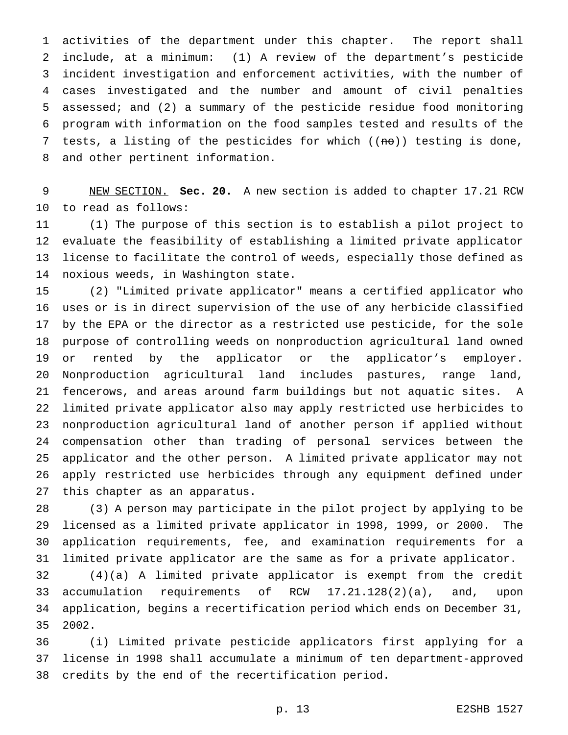activities of the department under this chapter. The report shall include, at a minimum: (1) A review of the department's pesticide incident investigation and enforcement activities, with the number of cases investigated and the number and amount of civil penalties assessed; and (2) a summary of the pesticide residue food monitoring program with information on the food samples tested and results of the 7 tests, a listing of the pesticides for which  $((n\theta))$  testing is done, and other pertinent information.

 NEW SECTION. **Sec. 20.** A new section is added to chapter 17.21 RCW to read as follows:

 (1) The purpose of this section is to establish a pilot project to evaluate the feasibility of establishing a limited private applicator license to facilitate the control of weeds, especially those defined as noxious weeds, in Washington state.

 (2) "Limited private applicator" means a certified applicator who uses or is in direct supervision of the use of any herbicide classified by the EPA or the director as a restricted use pesticide, for the sole purpose of controlling weeds on nonproduction agricultural land owned or rented by the applicator or the applicator's employer. Nonproduction agricultural land includes pastures, range land, fencerows, and areas around farm buildings but not aquatic sites. A limited private applicator also may apply restricted use herbicides to nonproduction agricultural land of another person if applied without compensation other than trading of personal services between the applicator and the other person. A limited private applicator may not apply restricted use herbicides through any equipment defined under this chapter as an apparatus.

 (3) A person may participate in the pilot project by applying to be licensed as a limited private applicator in 1998, 1999, or 2000. The application requirements, fee, and examination requirements for a limited private applicator are the same as for a private applicator.

 (4)(a) A limited private applicator is exempt from the credit accumulation requirements of RCW 17.21.128(2)(a), and, upon application, begins a recertification period which ends on December 31, 2002.

 (i) Limited private pesticide applicators first applying for a license in 1998 shall accumulate a minimum of ten department-approved credits by the end of the recertification period.